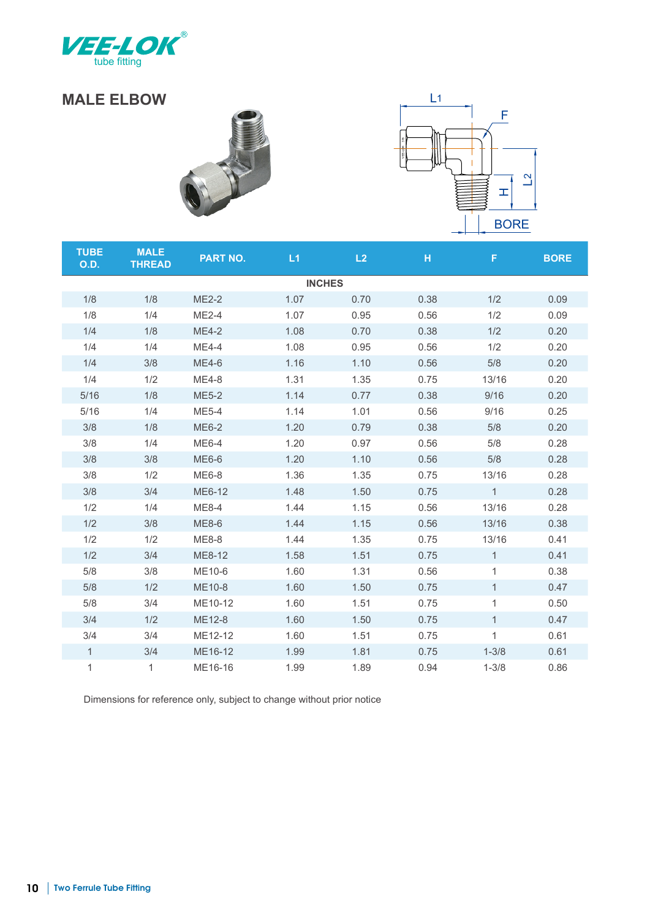

## **MALE ELBOW**





| <b>TUBE</b><br>O.D. | <b>MALE</b><br><b>THREAD</b> | <b>PART NO.</b> | L1   | L2   | H    | F.           | <b>BORE</b> |  |  |  |  |  |
|---------------------|------------------------------|-----------------|------|------|------|--------------|-------------|--|--|--|--|--|
| <b>INCHES</b>       |                              |                 |      |      |      |              |             |  |  |  |  |  |
| 1/8                 | 1/8                          | <b>ME2-2</b>    | 1.07 | 0.70 | 0.38 | 1/2          | 0.09        |  |  |  |  |  |
| 1/8                 | 1/4                          | <b>ME2-4</b>    | 1.07 | 0.95 | 0.56 | 1/2          | 0.09        |  |  |  |  |  |
| 1/4                 | 1/8                          | <b>ME4-2</b>    | 1.08 | 0.70 | 0.38 | 1/2          | 0.20        |  |  |  |  |  |
| 1/4                 | 1/4                          | <b>ME4-4</b>    | 1.08 | 0.95 | 0.56 | 1/2          | 0.20        |  |  |  |  |  |
| 1/4                 | 3/8                          | <b>ME4-6</b>    | 1.16 | 1.10 | 0.56 | 5/8          | 0.20        |  |  |  |  |  |
| 1/4                 | 1/2                          | <b>ME4-8</b>    | 1.31 | 1.35 | 0.75 | 13/16        | 0.20        |  |  |  |  |  |
| 5/16                | 1/8                          | <b>ME5-2</b>    | 1.14 | 0.77 | 0.38 | 9/16         | 0.20        |  |  |  |  |  |
| 5/16                | 1/4                          | <b>ME5-4</b>    | 1.14 | 1.01 | 0.56 | 9/16         | 0.25        |  |  |  |  |  |
| 3/8                 | 1/8                          | <b>ME6-2</b>    | 1.20 | 0.79 | 0.38 | 5/8          | 0.20        |  |  |  |  |  |
| 3/8                 | 1/4                          | <b>ME6-4</b>    | 1.20 | 0.97 | 0.56 | 5/8          | 0.28        |  |  |  |  |  |
| 3/8                 | 3/8                          | <b>ME6-6</b>    | 1.20 | 1.10 | 0.56 | 5/8          | 0.28        |  |  |  |  |  |
| 3/8                 | 1/2                          | <b>ME6-8</b>    | 1.36 | 1.35 | 0.75 | 13/16        | 0.28        |  |  |  |  |  |
| 3/8                 | 3/4                          | ME6-12          | 1.48 | 1.50 | 0.75 | $\mathbf{1}$ | 0.28        |  |  |  |  |  |
| 1/2                 | 1/4                          | <b>ME8-4</b>    | 1.44 | 1.15 | 0.56 | 13/16        | 0.28        |  |  |  |  |  |
| 1/2                 | 3/8                          | <b>ME8-6</b>    | 1.44 | 1.15 | 0.56 | 13/16        | 0.38        |  |  |  |  |  |
| 1/2                 | 1/2                          | <b>ME8-8</b>    | 1.44 | 1.35 | 0.75 | 13/16        | 0.41        |  |  |  |  |  |
| 1/2                 | 3/4                          | ME8-12          | 1.58 | 1.51 | 0.75 | $\mathbf{1}$ | 0.41        |  |  |  |  |  |
| 5/8                 | 3/8                          | ME10-6          | 1.60 | 1.31 | 0.56 | $\mathbf{1}$ | 0.38        |  |  |  |  |  |
| 5/8                 | 1/2                          | <b>ME10-8</b>   | 1.60 | 1.50 | 0.75 | $\mathbf{1}$ | 0.47        |  |  |  |  |  |
| 5/8                 | 3/4                          | ME10-12         | 1.60 | 1.51 | 0.75 | $\mathbf{1}$ | 0.50        |  |  |  |  |  |
| 3/4                 | 1/2                          | <b>ME12-8</b>   | 1.60 | 1.50 | 0.75 | $\mathbf{1}$ | 0.47        |  |  |  |  |  |
| 3/4                 | 3/4                          | ME12-12         | 1.60 | 1.51 | 0.75 | $\mathbf{1}$ | 0.61        |  |  |  |  |  |
| $\mathbf{1}$        | 3/4                          | ME16-12         | 1.99 | 1.81 | 0.75 | $1 - 3/8$    | 0.61        |  |  |  |  |  |
| $\mathbf 1$         | 1                            | ME16-16         | 1.99 | 1.89 | 0.94 | $1 - 3/8$    | 0.86        |  |  |  |  |  |

Dimensions for reference only, subject to change without prior notice